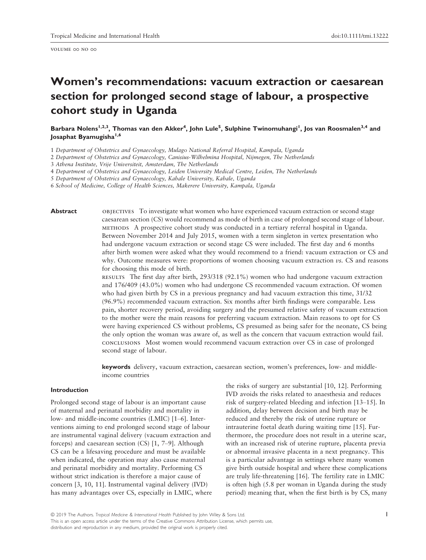volume 00 no 00

# Women's recommendations: vacuum extraction or caesarean section for prolonged second stage of labour, a prospective cohort study in Uganda

Barbara Nolens<sup>1,2,3</sup>, Thomas van den Akker<sup>4</sup>, John Lule<sup>5</sup>, Sulphine Twinomuhangi<sup>1</sup>, Jos van Roosmalen<sup>3,4</sup> and Josaphat Byamugisha<sup>1,6</sup>

1 Department of Obstetrics and Gynaecology, Mulago National Referral Hospital, Kampala, Uganda

- 3 Athena Institute, Vrije Universiteit, Amsterdam, The Netherlands
- 4 Department of Obstetrics and Gynaecology, Leiden University Medical Centre, Leiden, The Netherlands
- 5 Department of Obstetrics and Gynaecology, Kabale University, Kabale, Uganda

6 School of Medicine, College of Health Sciences, Makerere University, Kampala, Uganda

Abstract **objectives** To investigate what women who have experienced vacuum extraction or second stage caesarean section (CS) would recommend as mode of birth in case of prolonged second stage of labour. methods A prospective cohort study was conducted in a tertiary referral hospital in Uganda. Between November 2014 and July 2015, women with a term singleton in vertex presentation who had undergone vacuum extraction or second stage CS were included. The first day and 6 months after birth women were asked what they would recommend to a friend: vacuum extraction or CS and why. Outcome measures were: proportions of women choosing vacuum extraction  $\nu$ s. CS and reasons for choosing this mode of birth.

> results The first day after birth, 293/318 (92.1%) women who had undergone vacuum extraction and 176/409 (43.0%) women who had undergone CS recommended vacuum extraction. Of women who had given birth by CS in a previous pregnancy and had vacuum extraction this time, 31/32 (96.9%) recommended vacuum extraction. Six months after birth findings were comparable. Less pain, shorter recovery period, avoiding surgery and the presumed relative safety of vacuum extraction to the mother were the main reasons for preferring vacuum extraction. Main reasons to opt for CS were having experienced CS without problems, CS presumed as being safer for the neonate, CS being the only option the woman was aware of, as well as the concern that vacuum extraction would fail. conclusions Most women would recommend vacuum extraction over CS in case of prolonged second stage of labour.

keywords delivery, vacuum extraction, caesarean section, women's preferences, low- and middleincome countries

#### Introduction

Prolonged second stage of labour is an important cause of maternal and perinatal morbidity and mortality in low- and middle-income countries (LMIC) [1–6]. Interventions aiming to end prolonged second stage of labour are instrumental vaginal delivery (vacuum extraction and forceps) and caesarean section (CS) [1, 7–9]. Although CS can be a lifesaving procedure and must be available when indicated, the operation may also cause maternal and perinatal morbidity and mortality. Performing CS without strict indication is therefore a major cause of concern [3, 10, 11]. Instrumental vaginal delivery (IVD) has many advantages over CS, especially in LMIC, where the risks of surgery are substantial [10, 12]. Performing IVD avoids the risks related to anaesthesia and reduces risk of surgery-related bleeding and infection [13–15]. In addition, delay between decision and birth may be reduced and thereby the risk of uterine rupture or intrauterine foetal death during waiting time [15]. Furthermore, the procedure does not result in a uterine scar, with an increased risk of uterine rupture, placenta previa or abnormal invasive placenta in a next pregnancy. This is a particular advantage in settings where many women give birth outside hospital and where these complications are truly life-threatening [16]. The fertility rate in LMIC is often high (5.8 per woman in Uganda during the study period) meaning that, when the first birth is by CS, many

© 2019 The Authors. Tropical Medicine & International Health Published by John Wiley & Sons Ltd. 1 This is an open access article under the terms of the [Creative Commons Attribution](http://creativecommons.org/licenses/by/4.0/) License, which permits use, distribution and reproduction in any medium, provided the original work is properly cited.

<sup>2</sup> Department of Obstetrics and Gynaecology, Canisius-Wilhelmina Hospital, Nijmegen, The Netherlands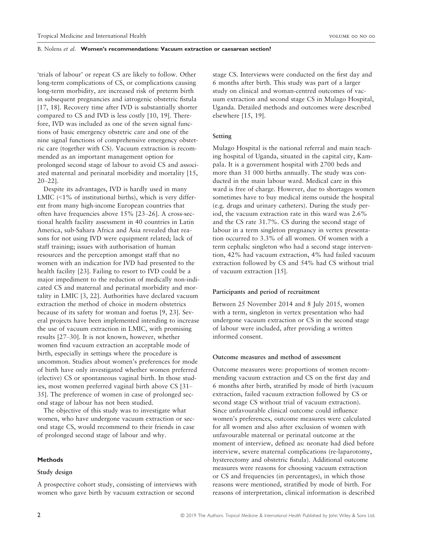'trials of labour' or repeat CS are likely to follow. Other long-term complications of CS, or complications causing long-term morbidity, are increased risk of preterm birth in subsequent pregnancies and iatrogenic obstetric fistula [17, 18]. Recovery time after IVD is substantially shorter compared to CS and IVD is less costly [10, 19]. Therefore, IVD was included as one of the seven signal functions of basic emergency obstetric care and one of the nine signal functions of comprehensive emergency obstetric care (together with CS). Vacuum extraction is recommended as an important management option for prolonged second stage of labour to avoid CS and associated maternal and perinatal morbidity and mortality [15, 20–22].

Despite its advantages, IVD is hardly used in many LMIC  $\langle$  <1% of institutional births), which is very different from many high-income European countries that often have frequencies above 15% [23–26]. A cross-sectional health facility assessment in 40 countries in Latin America, sub-Sahara Africa and Asia revealed that reasons for not using IVD were equipment related; lack of staff training; issues with authorisation of human resources and the perception amongst staff that no women with an indication for IVD had presented to the health facility [23]. Failing to resort to IVD could be a major impediment to the reduction of medically non-indicated CS and maternal and perinatal morbidity and mortality in LMIC [3, 22]. Authorities have declared vacuum extraction the method of choice in modern obstetrics because of its safety for woman and foetus [9, 23]. Several projects have been implemented intending to increase the use of vacuum extraction in LMIC, with promising results [27–30]. It is not known, however, whether women find vacuum extraction an acceptable mode of birth, especially in settings where the procedure is uncommon. Studies about women's preferences for mode of birth have only investigated whether women preferred (elective) CS or spontaneous vaginal birth. In those studies, most women preferred vaginal birth above CS [31– 35]. The preference of women in case of prolonged second stage of labour has not been studied.

The objective of this study was to investigate what women, who have undergone vacuum extraction or second stage CS, would recommend to their friends in case of prolonged second stage of labour and why.

# Methods

#### Study design

A prospective cohort study, consisting of interviews with women who gave birth by vacuum extraction or second

stage CS. Interviews were conducted on the first day and 6 months after birth. This study was part of a larger study on clinical and woman-centred outcomes of vacuum extraction and second stage CS in Mulago Hospital, Uganda. Detailed methods and outcomes were described elsewhere [15, 19].

#### Setting

Mulago Hospital is the national referral and main teaching hospital of Uganda, situated in the capital city, Kampala. It is a government hospital with 2700 beds and more than 31 000 births annually. The study was conducted in the main labour ward. Medical care in this ward is free of charge. However, due to shortages women sometimes have to buy medical items outside the hospital (e.g. drugs and urinary catheters). During the study period, the vacuum extraction rate in this ward was 2.6% and the CS rate 31.7%. CS during the second stage of labour in a term singleton pregnancy in vertex presentation occurred to 3.3% of all women. Of women with a term cephalic singleton who had a second stage intervention, 42% had vacuum extraction, 4% had failed vacuum extraction followed by CS and 54% had CS without trial of vacuum extraction [15].

# Participants and period of recruitment

Between 25 November 2014 and 8 July 2015, women with a term, singleton in vertex presentation who had undergone vacuum extraction or CS in the second stage of labour were included, after providing a written informed consent.

# Outcome measures and method of assessment

Outcome measures were: proportions of women recommending vacuum extraction and CS on the first day and 6 months after birth, stratified by mode of birth (vacuum extraction, failed vacuum extraction followed by CS or second stage CS without trial of vacuum extraction). Since unfavourable clinical outcome could influence women's preferences, outcome measures were calculated for all women and also after exclusion of women with unfavourable maternal or perinatal outcome at the moment of interview, defined as: neonate had died before interview, severe maternal complications (re-laparotomy, hysterectomy and obstetric fistula). Additional outcome measures were reasons for choosing vacuum extraction or CS and frequencies (in percentages), in which those reasons were mentioned, stratified by mode of birth. For reasons of interpretation, clinical information is described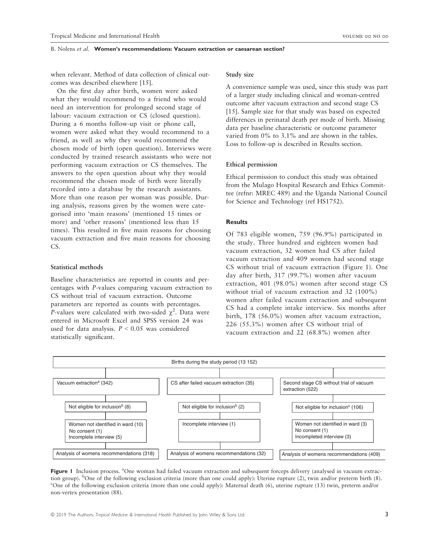when relevant. Method of data collection of clinical outcomes was described elsewhere [15].

On the first day after birth, women were asked what they would recommend to a friend who would need an intervention for prolonged second stage of labour: vacuum extraction or CS (closed question). During a 6 months follow-up visit or phone call, women were asked what they would recommend to a friend, as well as why they would recommend the chosen mode of birth (open question). Interviews were conducted by trained research assistants who were not performing vacuum extraction or CS themselves. The answers to the open question about why they would recommend the chosen mode of birth were literally recorded into a database by the research assistants. More than one reason per woman was possible. During analysis, reasons given by the women were categorised into 'main reasons' (mentioned 15 times or more) and 'other reasons' (mentioned less than 15 times). This resulted in five main reasons for choosing vacuum extraction and five main reasons for choosing C<sub>S</sub>.

# Statistical methods

Baseline characteristics are reported in counts and percentages with P-values comparing vacuum extraction to CS without trial of vacuum extraction. Outcome parameters are reported as counts with percentages. P-values were calculated with two-sided  $\chi^2$ . Data were entered in Microsoft Excel and SPSS version 24 was used for data analysis.  $P < 0.05$  was considered statistically significant.

# Study size

A convenience sample was used, since this study was part of a larger study including clinical and woman-centred outcome after vacuum extraction and second stage CS [15]. Sample size for that study was based on expected differences in perinatal death per mode of birth. Missing data per baseline characteristic or outcome parameter varied from 0% to 3.1% and are shown in the tables. Loss to follow-up is described in Results section.

#### Ethical permission

Ethical permission to conduct this study was obtained from the Mulago Hospital Research and Ethics Committee (refnr: MREC 489) and the Uganda National Council for Science and Technology (ref HS1752).

# **Results**

Of 783 eligible women, 759 (96.9%) participated in the study. Three hundred and eighteen women had vacuum extraction, 32 women had CS after failed vacuum extraction and 409 women had second stage CS without trial of vacuum extraction (Figure 1). One day after birth, 317 (99.7%) women after vacuum extraction, 401 (98.0%) women after second stage CS without trial of vacuum extraction and 32 (100%) women after failed vacuum extraction and subsequent CS had a complete intake interview. Six months after birth, 178 (56.0%) women after vacuum extraction, 226 (55.3%) women after CS without trial of vacuum extraction and 22 (68.8%) women after



Figure 1 Inclusion process. <sup>a</sup>One woman had failed vacuum extraction and subsequent forceps delivery (analysed in vacuum extraction group). <sup>b</sup>One of the following exclusion criteria (more than one could apply): Uterine rupture (2), twin and/or preterm birth (8). come of the following exclusion criteria (more than one could apply): Maternal death <sup>c</sup>One of the following exclusion criteria (more than one could apply): Maternal death  $(6)$ , uterine rupture  $(13)$  twin, preterm and/or non-vertex presentation (88).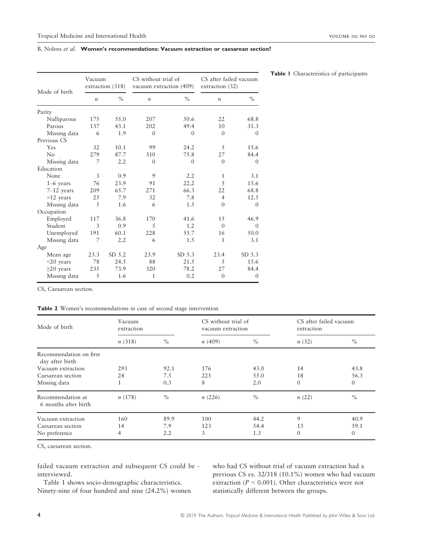Table 1 Characteristics of participants

# B. Nolens et al. Women's recommendations: Vacuum extraction or caesarean section?

| Mode of birth   | Vacuum<br>extraction (318) |               | CS without trial of<br>vacuum extraction (409) |                         | CS after failed vacuum<br>extraction (32) |               |
|-----------------|----------------------------|---------------|------------------------------------------------|-------------------------|-------------------------------------------|---------------|
|                 | $\boldsymbol{n}$           | $\frac{0}{0}$ | $\boldsymbol{n}$                               | $\frac{0}{0}$           | $\boldsymbol{n}$                          | $\frac{0}{0}$ |
| Parity          |                            |               |                                                |                         |                                           |               |
| Nulliparous     | 175                        | 5.5.0         | 207                                            | 50.6                    | 22                                        | 68.8          |
| Parous          | 137                        | 43.1          | 202                                            | 49.4                    | 10                                        | 31.3          |
| Missing data    | 6                          | 1.9           | $\Omega$                                       | $\Omega$                | $\Omega$                                  | $\Omega$      |
| Previous CS     |                            |               |                                                |                         |                                           |               |
| Yes             | 32                         | 10.1          | 99                                             | 5<br>24.2<br>75.8<br>27 |                                           | 15.6          |
| No              | 279                        | 87.7          | 310                                            |                         |                                           | 84.4          |
| Missing data    | 7                          | 2.2           | $\Omega$                                       | $\Omega$                | $\Omega$                                  | $\Omega$      |
| Education       |                            |               |                                                |                         |                                           |               |
| None            | $\overline{\mathbf{3}}$    | 0.9           | 9                                              | 2.2                     | 1                                         | 3.1           |
| $1-6$ years     | 76                         | 23.9          | 91                                             | 5<br>22.2               |                                           | 15.6          |
| $7-12$ years    | 209                        | 65.7          | 271                                            | 66.3                    | 22                                        | 68.8          |
| $>12$ years     | 25                         | 7.9           | 32                                             | 7.8                     | $\overline{4}$                            | 12.5          |
| Missing data    | 5                          | 1.6           | 6                                              | 1.5                     | $\Omega$                                  | $\Omega$      |
| Occupation      |                            |               |                                                |                         |                                           |               |
| Employed        | 117                        | 36.8          | 170                                            | 41.6                    | 15                                        | 46.9          |
| Student         | $\overline{\mathbf{3}}$    | 0.9           | 5                                              | 1.2                     | $\Omega$                                  | $\Omega$      |
| Unemployed      | 191                        | 60.1          | 228                                            | 55.7                    | 16                                        | 50.0          |
| Missing data    | 7                          | 2.2           | 6                                              | 1.5                     | 1                                         | 3.1           |
| Age             |                            |               |                                                |                         |                                           |               |
| Mean age        | 23.3                       | SD 5.2        | 23.9                                           | SD 5.3                  | 23.4                                      | SD 5.3        |
| $<$ 20 years    | 78                         | 24.5          | 88                                             | 21.5                    | 5                                         | 15.6          |
| $\geq$ 20 years | 235                        | 73.9          | 320                                            | 78.2                    | 27                                        | 84.4          |
| Missing data    | 5                          | 1.6           | 1                                              | 0.2                     | $\Omega$                                  | $\theta$      |

CS, Caesarean section.

Table 2 Women's recommendations in case of second stage intervention

| Mode of birth                              | Vacuum<br>extraction |      | CS without trial of<br>vacuum extraction |      | CS after failed vacuum<br>extraction |                |
|--------------------------------------------|----------------------|------|------------------------------------------|------|--------------------------------------|----------------|
|                                            | n(318)               | $\%$ | n(409)                                   | $\%$ | n(32)                                | $\%$           |
| Recommendation on first<br>day after birth |                      |      |                                          |      |                                      |                |
| Vacuum extraction                          | 293                  | 92.1 | 176                                      | 43.0 | 14                                   | 43.8           |
| Caesarean section                          | 24                   | 7.5  | 225                                      | 55.0 | 18                                   | 56.3           |
| Missing data                               | 1                    | 0.3  | 8                                        | 2.0  | $\Omega$                             | $\overline{0}$ |
| Recommendation at<br>6 months after birth  | n(178)               | $\%$ | n(226)                                   | $\%$ | n(22)                                | $\%$           |
| Vacuum extraction                          | 160                  | 89.9 | 100                                      | 44.2 | 9                                    | 40.9           |
| Caesarean section                          | 14                   | 7.9  | 123                                      | 54.4 | 13                                   | 59.1           |
| No preference                              | 4                    | 2.2  | 3                                        | 1.3  | $\Omega$                             | $\Omega$       |

CS, caesarean section.

failed vacuum extraction and subsequent CS could be interviewed.

Table 1 shows socio-demographic characteristics. Ninety-nine of four hundred and nine (24.2%) women who had CS without trial of vacuum extraction had a previous CS vs. 32/318 (10.1%) women who had vacuum extraction ( $P < 0.001$ ). Other characteristics were not statistically different between the groups.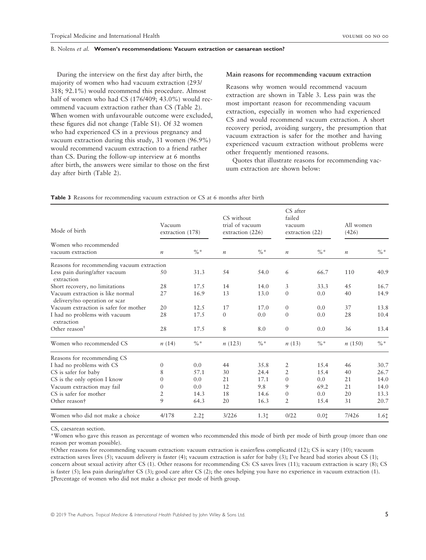During the interview on the first day after birth, the majority of women who had vacuum extraction (293/ 318; 92.1%) would recommend this procedure. Almost half of women who had CS (176/409; 43.0%) would recommend vacuum extraction rather than CS (Table 2). When women with unfavourable outcome were excluded, these figures did not change (Table S1). Of 32 women who had experienced CS in a previous pregnancy and vacuum extraction during this study, 31 women (96.9%) would recommend vacuum extraction to a friend rather than CS. During the follow-up interview at 6 months after birth, the answers were similar to those on the first day after birth (Table 2).

## Main reasons for recommending vacuum extraction

Reasons why women would recommend vacuum extraction are shown in Table 3. Less pain was the most important reason for recommending vacuum extraction, especially in women who had experienced CS and would recommend vacuum extraction. A short recovery period, avoiding surgery, the presumption that vacuum extraction is safer for the mother and having experienced vacuum extraction without problems were other frequently mentioned reasons.

Quotes that illustrate reasons for recommending vacuum extraction are shown below:

|  | <b>Table 3</b> Reasons for recommending vacuum extraction or CS at 6 months after birth |  |  |  |
|--|-----------------------------------------------------------------------------------------|--|--|--|
|--|-----------------------------------------------------------------------------------------|--|--|--|

| Mode of birth                                                     | Vacuum<br>extraction (178) |        | CS without<br>trial of vacuum<br>extraction (226) |        | CS after<br>failed<br>vacuum<br>extraction (22) |        | All women<br>(426) |        |
|-------------------------------------------------------------------|----------------------------|--------|---------------------------------------------------|--------|-------------------------------------------------|--------|--------------------|--------|
| Women who recommended<br>vacuum extraction                        | $\boldsymbol{n}$           | $\% *$ | $\boldsymbol{n}$                                  | $\% *$ | $\boldsymbol{n}$                                | $\% *$ | $\boldsymbol{n}$   | $\% *$ |
| Reasons for recommending vacuum extraction                        |                            |        |                                                   |        |                                                 |        |                    |        |
| Less pain during/after vacuum<br>extraction                       | 50                         | 31.3   | 54                                                | 54.0   | 6                                               | 66.7   | 110                | 40.9   |
| Short recovery, no limitations                                    | 28                         | 17.5   | 14                                                | 14.0   | 3                                               | 33.3   | 4.5                | 16.7   |
| Vacuum extraction is like normal<br>delivery/no operation or scar | 27                         | 16.9   | 13                                                | 13.0   | $\mathbf{0}$                                    | 0.0    | 40                 | 14.9   |
| Vacuum extraction is safer for mother                             | 20                         | 12.5   | 17                                                | 17.0   | $\Omega$                                        | 0.0    | 37                 | 13.8   |
| I had no problems with vacuum<br>extraction                       | 28                         | 17.5   | $\mathbf{0}$                                      | 0.0    | $\theta$                                        | 0.0    | 28                 | 10.4   |
| Other reason <sup>†</sup>                                         | 28                         | 17.5   | 8                                                 | 8.0    | $\mathbf{0}$                                    | 0.0    | 36                 | 13.4   |
| Women who recommended CS                                          | n(14)                      | $\% *$ | n(123)                                            | $\% *$ | n(13)                                           | $\% *$ | n(150)             | $\% *$ |
| Reasons for recommending CS                                       |                            |        |                                                   |        |                                                 |        |                    |        |
| I had no problems with CS                                         | $\Omega$                   | 0.0    | 44                                                | 35.8   | 2                                               | 15.4   | 46                 | 30.7   |
| CS is safer for baby                                              | 8                          | 57.1   | 30                                                | 24.4   | 2                                               | 1.5.4  | 40                 | 26.7   |
| CS is the only option I know                                      | $\Omega$                   | 0.0    | 21                                                | 17.1   | $\Omega$                                        | 0.0    | 21                 | 14.0   |
| Vacuum extraction may fail                                        | $\Omega$                   | 0.0    | 12                                                | 9.8    | 9                                               | 69.2   | 21                 | 14.0   |
| CS is safer for mother                                            | 2                          | 14.3   | 18                                                | 14.6   | $\overline{0}$                                  | 0.0    | 20                 | 13.3   |
| Other reason†                                                     | 9                          | 64.3   | 20                                                | 16.3   | 2                                               | 15.4   | 31                 | 20.7   |
| Women who did not make a choice                                   | 4/178                      | 2.21   | 3/226                                             | 1.31   | 0/22                                            | 0.01   | 7/426              | 1.6‡   |

CS, caesarean section.

\*Women who gave this reason as percentage of women who recommended this mode of birth per mode of birth group (more than one reason per woman possible).

†Other reasons for recommending vacuum extraction: vacuum extraction is easier/less complicated (12); CS is scary (10); vacuum extraction saves lives (5); vacuum delivery is faster (4); vacuum extraction is safer for baby (3); I've heard bad stories about CS (1); concern about sexual activity after CS (1). Other reasons for recommending CS: CS saves lives (11); vacuum extraction is scary (8); CS is faster (5); less pain during/after CS (3); good care after CS (2); the ones helping you have no experience in vacuum extraction (1). ‡Percentage of women who did not make a choice per mode of birth group.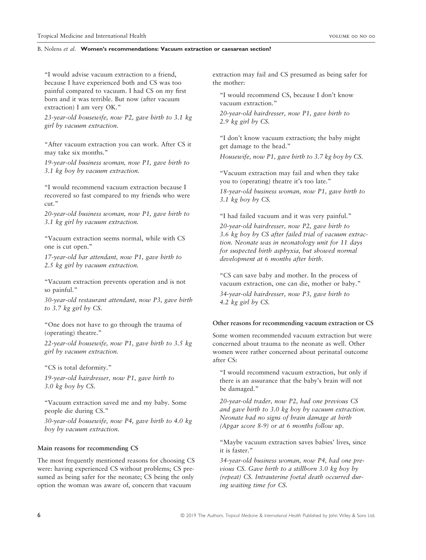"I would advise vacuum extraction to a friend, because I have experienced both and CS was too painful compared to vacuum. I had CS on my first born and it was terrible. But now (after vacuum extraction) I am very OK."

23-year-old housewife, now P2, gave birth to 3.1 kg girl by vacuum extraction.

"After vacuum extraction you can work. After CS it may take six months."

19-year-old business woman, now P1, gave birth to 3.1 kg boy by vacuum extraction.

"I would recommend vacuum extraction because I recovered so fast compared to my friends who were cut."

20-year-old business woman, now P1, gave birth to 3.1 kg girl by vacuum extraction.

"Vacuum extraction seems normal, while with CS one is cut open."

17-year-old bar attendant, now P1, gave birth to 2.5 kg girl by vacuum extraction.

"Vacuum extraction prevents operation and is not so painful."

30-year-old restaurant attendant, now P3, gave birth to 3.7 kg girl by CS.

"One does not have to go through the trauma of (operating) theatre."

22-year-old housewife, now P1, gave birth to 3.5 kg girl by vacuum extraction.

"CS is total deformity."

19-year-old hairdresser, now P1, gave birth to  $3.0$  kg boy by CS.

"Vacuum extraction saved me and my baby. Some people die during CS."

30-year-old housewife, now P4, gave birth to 4.0 kg boy by vacuum extraction.

# Main reasons for recommending CS

The most frequently mentioned reasons for choosing CS were: having experienced CS without problems; CS presumed as being safer for the neonate; CS being the only option the woman was aware of, concern that vacuum

extraction may fail and CS presumed as being safer for the mother:

"I would recommend CS, because I don't know vacuum extraction."

20-year-old hairdresser, now P1, gave birth to 2.9 kg girl by CS.

"I don't know vacuum extraction; the baby might get damage to the head."

Housewife, now P1, gave birth to 3.7 kg boy by CS.

"Vacuum extraction may fail and when they take you to (operating) theatre it's too late."

18-year-old business woman, now P1, gave birth to  $3.1$  kg boy by CS.

"I had failed vacuum and it was very painful."

20-year-old hairdresser, now P2, gave birth to 3.6 kg boy by CS after failed trial of vacuum extraction. Neonate was in neonatology unit for 11 days for suspected birth asphyxia, but showed normal development at 6 months after birth.

"CS can save baby and mother. In the process of vacuum extraction, one can die, mother or baby."

34-year-old hairdresser, now P3, gave birth to 4.2 kg girl by CS.

# Other reasons for recommending vacuum extraction or CS

Some women recommended vacuum extraction but were concerned about trauma to the neonate as well. Other women were rather concerned about perinatal outcome after CS:

"I would recommend vacuum extraction, but only if there is an assurance that the baby's brain will not be damaged."

20-year-old trader, now P2, had one previous CS and gave birth to 3.0 kg boy by vacuum extraction. Neonate had no signs of brain damage at birth (Apgar score 8-9) or at 6 months follow up.

"Maybe vacuum extraction saves babies' lives, since it is faster."

34-year-old business woman, now P4, had one previous CS. Gave birth to a stillborn 3.0 kg boy by (repeat) CS. Intrauterine foetal death occurred during waiting time for CS.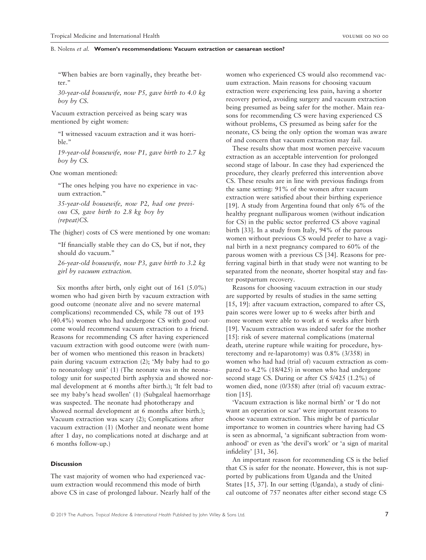"When babies are born vaginally, they breathe bet-

30-year-old housewife, now P5, gave birth to 4.0 kg boy by CS.

Vacuum extraction perceived as being scary was mentioned by eight women:

"I witnessed vacuum extraction and it was horrible."

19-year-old housewife, now P1, gave birth to 2.7 kg boy by CS.

One woman mentioned:

ter."

"The ones helping you have no experience in vacuum extraction."

35-year-old housewife, now P2, had one previous CS, gave birth to 2.8 kg boy by (repeat)CS.

The (higher) costs of CS were mentioned by one woman:

"If financially stable they can do CS, but if not, they should do vacuum."

26-year-old housewife, now P3, gave birth to 3.2 kg girl by vacuum extraction.

Six months after birth, only eight out of 161 (5.0%) women who had given birth by vacuum extraction with good outcome (neonate alive and no severe maternal complications) recommended CS, while 78 out of 193 (40.4%) women who had undergone CS with good outcome would recommend vacuum extraction to a friend. Reasons for recommending CS after having experienced vacuum extraction with good outcome were (with number of women who mentioned this reason in brackets) pain during vacuum extraction (2); 'My baby had to go to neonatology unit' (1) (The neonate was in the neonatology unit for suspected birth asphyxia and showed normal development at 6 months after birth.); 'It felt bad to see my baby's head swollen' (1) (Subgaleal haemorrhage was suspected. The neonate had phototherapy and showed normal development at 6 months after birth.); Vacuum extraction was scary (2); Complications after vacuum extraction (1) (Mother and neonate went home after 1 day, no complications noted at discharge and at 6 months follow-up.)

#### **Discussion**

The vast majority of women who had experienced vacuum extraction would recommend this mode of birth above CS in case of prolonged labour. Nearly half of the women who experienced CS would also recommend vacuum extraction. Main reasons for choosing vacuum extraction were experiencing less pain, having a shorter recovery period, avoiding surgery and vacuum extraction being presumed as being safer for the mother. Main reasons for recommending CS were having experienced CS without problems, CS presumed as being safer for the neonate, CS being the only option the woman was aware of and concern that vacuum extraction may fail.

These results show that most women perceive vacuum extraction as an acceptable intervention for prolonged second stage of labour. In case they had experienced the procedure, they clearly preferred this intervention above CS. These results are in line with previous findings from the same setting: 91% of the women after vacuum extraction were satisfied about their birthing experience [19]. A study from Argentina found that only 6% of the healthy pregnant nulliparous women (without indication for CS) in the public sector preferred CS above vaginal birth [33]. In a study from Italy, 94% of the parous women without previous CS would prefer to have a vaginal birth in a next pregnancy compared to 60% of the parous women with a previous CS [34]. Reasons for preferring vaginal birth in that study were not wanting to be separated from the neonate, shorter hospital stay and faster postpartum recovery.

Reasons for choosing vacuum extraction in our study are supported by results of studies in the same setting [15, 19]: after vacuum extraction, compared to after CS, pain scores were lower up to 6 weeks after birth and more women were able to work at 6 weeks after birth [19]. Vacuum extraction was indeed safer for the mother [15]: risk of severe maternal complications (maternal death, uterine rupture while waiting for procedure, hysterectomy and re-laparotomy) was 0.8% (3/358) in women who had had (trial of) vacuum extraction as compared to 4.2% (18/425) in women who had undergone second stage CS. During or after CS 5/425 (1.2%) of women died, none (0/358) after (trial of) vacuum extraction [15].

'Vacuum extraction is like normal birth' or 'I do not want an operation or scar' were important reasons to choose vacuum extraction. This might be of particular importance to women in countries where having had CS is seen as abnormal, 'a significant subtraction from womanhood' or even as 'the devil's work' or 'a sign of marital infidelity' [31, 36].

An important reason for recommending CS is the belief that CS is safer for the neonate. However, this is not supported by publications from Uganda and the United States [15, 37]. In our setting (Uganda), a study of clinical outcome of 757 neonates after either second stage CS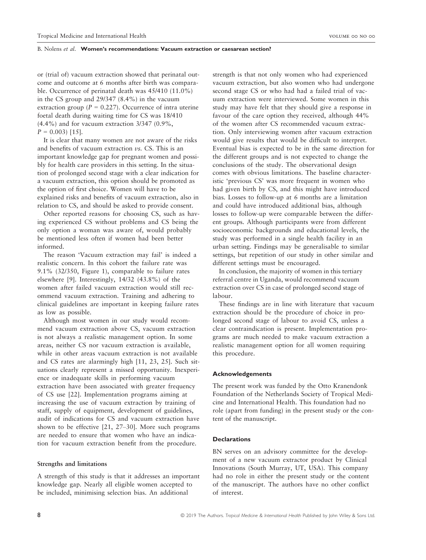or (trial of) vacuum extraction showed that perinatal outcome and outcome at 6 months after birth was comparable. Occurrence of perinatal death was 45/410 (11.0%) in the CS group and 29/347 (8.4%) in the vacuum extraction group ( $P = 0.227$ ). Occurrence of intra uterine foetal death during waiting time for CS was 18/410 (4.4%) and for vacuum extraction 3/347 (0.9%,  $P = 0.003$  [15].

It is clear that many women are not aware of the risks and benefits of vacuum extraction  $\nu$ s. CS. This is an important knowledge gap for pregnant women and possibly for health care providers in this setting. In the situation of prolonged second stage with a clear indication for a vacuum extraction, this option should be promoted as the option of first choice. Women will have to be explained risks and benefits of vacuum extraction, also in relation to CS, and should be asked to provide consent.

Other reported reasons for choosing CS, such as having experienced CS without problems and CS being the only option a woman was aware of, would probably be mentioned less often if women had been better informed.

The reason 'Vacuum extraction may fail' is indeed a realistic concern. In this cohort the failure rate was 9.1% (32/350, Figure 1), comparable to failure rates elsewhere [9]. Interestingly, 14/32 (43.8%) of the women after failed vacuum extraction would still recommend vacuum extraction. Training and adhering to clinical guidelines are important in keeping failure rates as low as possible.

Although most women in our study would recommend vacuum extraction above CS, vacuum extraction is not always a realistic management option. In some areas, neither CS nor vacuum extraction is available, while in other areas vacuum extraction is not available and CS rates are alarmingly high [11, 23, 25]. Such situations clearly represent a missed opportunity. Inexperience or inadequate skills in performing vacuum extraction have been associated with greater frequency of CS use [22]. Implementation programs aiming at increasing the use of vacuum extraction by training of staff, supply of equipment, development of guidelines, audit of indications for CS and vacuum extraction have shown to be effective [21, 27–30]. More such programs are needed to ensure that women who have an indication for vacuum extraction benefit from the procedure.

#### Strengths and limitations

A strength of this study is that it addresses an important knowledge gap. Nearly all eligible women accepted to be included, minimising selection bias. An additional

strength is that not only women who had experienced vacuum extraction, but also women who had undergone second stage CS or who had had a failed trial of vacuum extraction were interviewed. Some women in this study may have felt that they should give a response in favour of the care option they received, although 44% of the women after CS recommended vacuum extraction. Only interviewing women after vacuum extraction would give results that would be difficult to interpret. Eventual bias is expected to be in the same direction for the different groups and is not expected to change the conclusions of the study. The observational design comes with obvious limitations. The baseline characteristic 'previous CS' was more frequent in women who had given birth by CS, and this might have introduced bias. Losses to follow-up at 6 months are a limitation and could have introduced additional bias, although losses to follow-up were comparable between the different groups. Although participants were from different socioeconomic backgrounds and educational levels, the study was performed in a single health facility in an urban setting. Findings may be generalisable to similar settings, but repetition of our study in other similar and different settings must be encouraged.

In conclusion, the majority of women in this tertiary referral centre in Uganda, would recommend vacuum extraction over CS in case of prolonged second stage of labour.

These findings are in line with literature that vacuum extraction should be the procedure of choice in prolonged second stage of labour to avoid CS, unless a clear contraindication is present. Implementation programs are much needed to make vacuum extraction a realistic management option for all women requiring this procedure.

#### Acknowledgements

The present work was funded by the Otto Kranendonk Foundation of the Netherlands Society of Tropical Medicine and International Health. This foundation had no role (apart from funding) in the present study or the content of the manuscript.

#### **Declarations**

BN serves on an advisory committee for the development of a new vacuum extractor product by Clinical Innovations (South Murray, UT, USA). This company had no role in either the present study or the content of the manuscript. The authors have no other conflict of interest.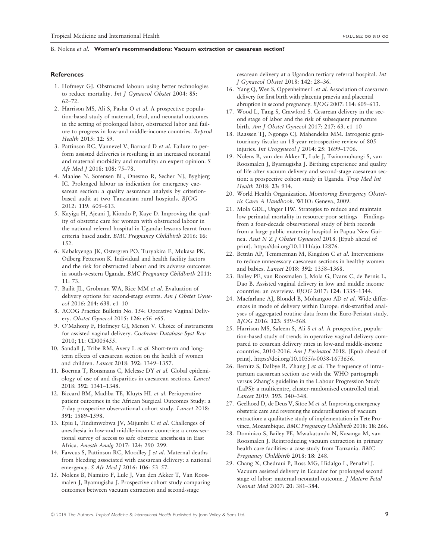#### **References**

- 1. Hofmeyr GJ. Obstructed labour: using better technologies to reduce mortality. Int J Gynaecol Obstet 2004: 85: 62–72.
- 2. Harrison MS, Ali S, Pasha O et al. A prospective population-based study of maternal, fetal, and neonatal outcomes in the setting of prolonged labor, obstructed labor and failure to progress in low-and middle-income countries. Reprod Health 2015: 12: S9.
- 3. Pattinson RC, Vannevel V, Barnard D et al. Failure to perform assisted deliveries is resulting in an increased neonatal and maternal morbidity and mortality: an expert opinion. S Afr Med J 2018: 108: 75–78.
- 4. Maaløe N, Sorensen BL, Onesmo R, Secher NJ, Bygbjerg IC. Prolonged labour as indication for emergency caesarean section: a quality assurance analysis by criterionbased audit at two Tanzanian rural hospitals. BJOG 2012: 119: 605–613.
- 5. Kayiga H, Ajeani J, Kiondo P, Kaye D. Improving the quality of obstetric care for women with obstructed labour in the national referral hospital in Uganda: lessons learnt from criteria based audit. BMC Pregnancy Childbirth 2016: 16: 152.
- 6. Kabakyenga JK, Ostergren PO, Turyakira E, Mukasa PK, Odberg Petterson K. Individual and health facility factors and the risk for obstructed labour and its adverse outcomes in south-western Uganda. BMC Pregnancy Childbirth 2011: 11: 73.
- 7. Bailit JL, Grobman WA, Rice MM et al. Evaluation of delivery options for second-stage events. Am J Obstet Gynecol 2016: 214: 638. e1–10
- 8. ACOG Practice Bulletin No. 154: Operative Vaginal Delivery. Obstet Gynecol 2015: 126: e56–e65.
- 9. O'Mahony F, Hofmeyr GJ, Menon V. Choice of instruments for assisted vaginal delivery. Cochrane Database Syst Rev 2010; 11: CD005455.
- 10. Sandall J, Tribe RM, Avery L et al. Short-term and longterm effects of caesarean section on the health of women and children. Lancet 2018: 392: 1349–1357.
- 11. Boerma T, Ronsmans C, Melesse DY et al. Global epidemiology of use of and disparities in caesarean sections. Lancet 2018: 392: 1341–1348.
- 12. Biccard BM, Madiba TE, Kluyts HL et al. Perioperative patient outcomes in the African Surgical Outcomes Study: a 7-day prospective observational cohort study. Lancet 2018: 391: 1589–1598.
- 13. Epiu I, Tindimwebwa JV, Mijumbi C et al. Challenges of anesthesia in low-and middle-income countries: a cross-sectional survey of access to safe obstetric anesthesia in East Africa. Anesth Analg 2017: 124: 290–299.
- 14. Fawcus S, Pattinson RC, Moodley J et al. Maternal deaths from bleeding associated with caesarean delivery: a national emergency. S Afr Med J 2016: 106: 53-57.
- 15. Nolens B, Namiiro F, Lule J, Van den Akker T, Van Roosmalen J, Byamugisha J. Prospective cohort study comparing outcomes between vacuum extraction and second-stage

cesarean delivery at a Ugandan tertiary referral hospital. Int J Gynaecol Obstet 2018: 142: 28–36.

- 16. Yang Q, Wen S, Oppenheimer L et al. Association of caesarean delivery for first birth with placenta praevia and placental abruption in second pregnancy. BJOG 2007: 114: 609–613.
- 17. Wood L, Tang S, Crawford S. Cesarean delivery in the second stage of labor and the risk of subsequent premature birth. Am J Obstet Gynecol 2017: 217: 63. e1–10
- 18. Raassen TJ, Ngongo CJ, Mahendeka MM. Iatrogenic genitourinary fistula: an 18-year retrospective review of 805 injuries. Int Urogynecol J 2014: 25: 1699–1706.
- 19. Nolens B, van den Akker T, Lule J, Twinomuhangi S, van Roosmalen J, Byamugisha J. Birthing experience and quality of life after vacuum delivery and second-stage caesarean section: a prospective cohort study in Uganda. Trop Med Int Health 2018: 23: 914.
- 20. World Health Organization. Monitoring Emergency Obstetric Care: A Handbook. WHO: Geneva, 2009.
- 21. Mola GDL, Unger HW. Strategies to reduce and maintain low perinatal mortality in resource-poor settings – Findings from a four-decade observational study of birth records from a large public maternity hospital in Papua New Guinea. Aust N Z J Obstet Gynaecol 2018. [Epub ahead of print]. [https://doi.org/10.1111/ajo.12876.](https://doi.org/10.1111/ajo.12876)
- 22. Betrán AP, Temmerman M, Kingdon C et al. Interventions to reduce unnecessary caesarean sections in healthy women and babies. Lancet 2018: 392: 1358–1368.
- 23. Bailey PE, van Roosmalen J, Mola G, Evans C, de Bernis L, Dao B. Assisted vaginal delivery in low and middle income countries: an overview. BJOG 2017: 124: 1335–1344.
- 24. Macfarlane AJ, Blondel B, Mohangoo AD et al. Wide differences in mode of delivery within Europe: risk-stratified analyses of aggregated routine data from the Euro-Peristat study. BJOG 2016: 123: 559–568.
- 25. Harrison MS, Saleem S, Ali S et al. A prospective, population-based study of trends in operative vaginal delivery compared to cesarean delivery rates in low-and middle-income countries, 2010-2016. Am J Perinatol 2018. [Epub ahead of print]. [https://doi.org/10.1055/s-0038-1673656.](https://doi.org/10.1055/s-0038-1673656)
- 26. Bernitz S, Dalbye R, Zhang J et al. The frequency of intrapartum caesarean section use with the WHO partograph versus Zhang's guideline in the Labour Progression Study (LaPS): a multicentre, cluster-randomised controlled trial. Lancet 2019: 393: 340–348.
- 27. Geelhoed D, de Deus V, Sitoe M et al. Improving emergency obstetric care and reversing the underutilisation of vacuum extraction: a qualitative study of implementation in Tete Province, Mozambique. BMC Pregnancy Childbirth 2018: 18: 266.
- 28. Dominico S, Bailey PE, Mwakatundu N, Kasanga M, van Roosmalen J. Reintroducing vacuum extraction in primary health care facilities: a case study from Tanzania. BMC Pregnancy Childbirth 2018: 18: 248.
- 29. Chang X, Chedraui P, Ross MG, Hidalgo L, Penafiel J. Vacuum assisted delivery in Ecuador for prolonged second stage of labor: maternal-neonatal outcome. J Matern Fetal Neonat Med 2007: 20: 381–384.